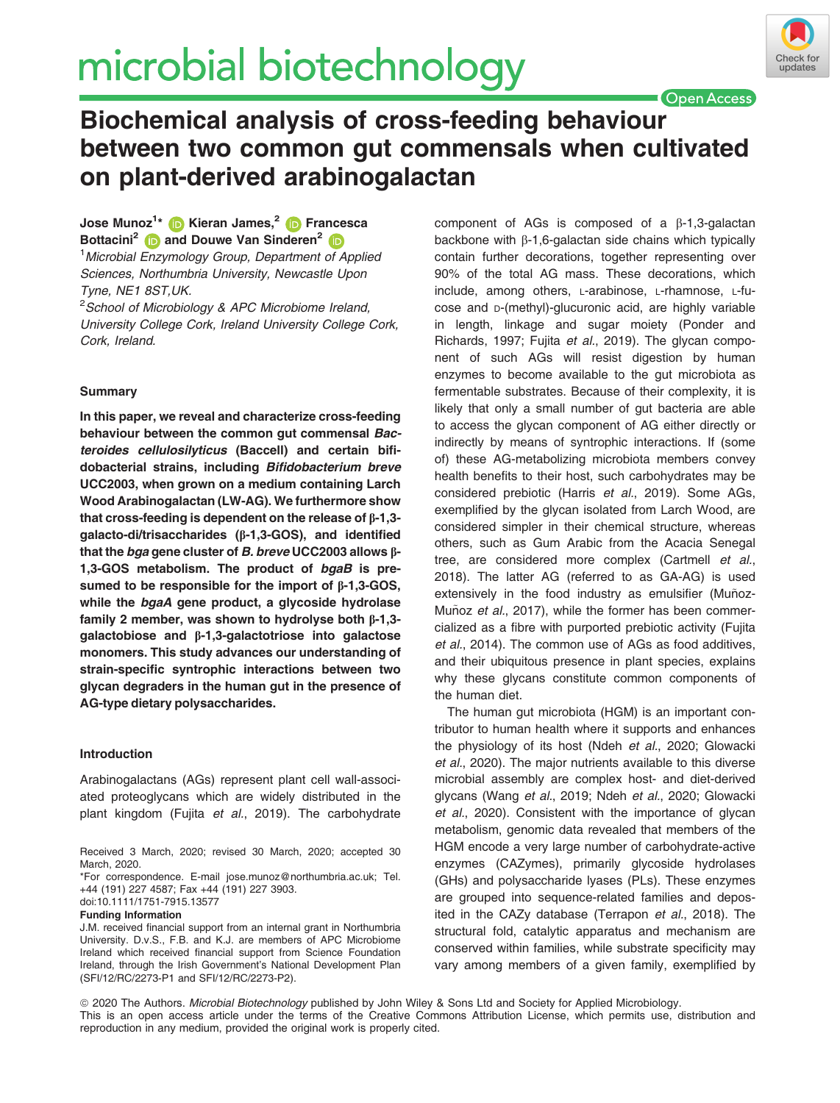# microbial biotechnology



**Open Access** 

# Biochemical analysis of cross-feeding behaviour between two common gut commensals when cultivated on plant-derived arabinogalactan

Jose Munoz<sup>1</sup>[\\*](https://orcid.org/0000-0003-0010-948X) (D Kieran James,<sup>[2](https://orcid.org/0000-0003-3612-9626)</sup> (D Francesca Bottacini<sup>[2](https://orcid.org/0000-0002-0142-2956)</sup> and Douwe Van Sinderen<sup>2</sup> <sup>1</sup> Microbial Enzymology Group, Department of Applied

Sciences, Northumbria University, Newcastle Upon Tyne, NE1 8ST,UK.

<sup>2</sup>School of Microbiology & APC Microbiome Ireland, University College Cork, Ireland University College Cork, Cork, Ireland.

# Summary

In this paper, we reveal and characterize cross-feeding behaviour between the common gut commensal Bacteroides cellulosilyticus (Baccell) and certain bifidobacterial strains, including Bifidobacterium breve UCC2003, when grown on a medium containing Larch Wood Arabinogalactan (LW-AG). We furthermore show that cross-feeding is dependent on the release of b-1,3 galacto-di/trisaccharides (b-1,3-GOS), and identified that the bga gene cluster of B. breve UCC2003 allows  $\beta$ -1,3-GOS metabolism. The product of bgaB is presumed to be responsible for the import of  $\beta$ -1,3-GOS, while the bgaA gene product, a glycoside hydrolase family 2 member, was shown to hydrolyse both  $\beta$ -1,3galactobiose and b-1,3-galactotriose into galactose monomers. This study advances our understanding of strain-specific syntrophic interactions between two glycan degraders in the human gut in the presence of AG-type dietary polysaccharides.

# Introduction

Arabinogalactans (AGs) represent plant cell wall-associated proteoglycans which are widely distributed in the plant kingdom (Fujita et al., 2019). The carbohydrate

doi:10.1111/1751-7915.13577

Funding Information

J.M. received financial support from an internal grant in Northumbria University. D.v.S., F.B. and K.J. are members of APC Microbiome Ireland which received financial support from Science Foundation Ireland, through the Irish Government's National Development Plan (SFI/12/RC/2273-P1 and SFI/12/RC/2273-P2).

component of AGs is composed of a b-1,3-galactan backbone with  $\beta$ -1,6-galactan side chains which typically contain further decorations, together representing over 90% of the total AG mass. These decorations, which include, among others, L-arabinose, L-rhamnose, L-fucose and D-(methyl)-glucuronic acid, are highly variable in length, linkage and sugar moiety (Ponder and Richards, 1997; Fujita et al., 2019). The glycan component of such AGs will resist digestion by human enzymes to become available to the gut microbiota as fermentable substrates. Because of their complexity, it is likely that only a small number of gut bacteria are able to access the glycan component of AG either directly or indirectly by means of syntrophic interactions. If (some of) these AG-metabolizing microbiota members convey health benefits to their host, such carbohydrates may be considered prebiotic (Harris et al., 2019). Some AGs, exemplified by the glycan isolated from Larch Wood, are considered simpler in their chemical structure, whereas others, such as Gum Arabic from the Acacia Senegal tree, are considered more complex (Cartmell et al., 2018). The latter AG (referred to as GA-AG) is used extensively in the food industry as emulsifier (Muñoz-Muñoz et al., 2017), while the former has been commercialized as a fibre with purported prebiotic activity (Fujita et al., 2014). The common use of AGs as food additives, and their ubiquitous presence in plant species, explains why these glycans constitute common components of the human diet.

The human gut microbiota (HGM) is an important contributor to human health where it supports and enhances the physiology of its host (Ndeh et al., 2020; Glowacki et al., 2020). The major nutrients available to this diverse microbial assembly are complex host- and diet-derived glycans (Wang et al., 2019; Ndeh et al., 2020; Glowacki et al., 2020). Consistent with the importance of glycan metabolism, genomic data revealed that members of the HGM encode a very large number of carbohydrate-active enzymes (CAZymes), primarily glycoside hydrolases (GHs) and polysaccharide lyases (PLs). These enzymes are grouped into sequence-related families and deposited in the CAZy database (Terrapon et al., 2018). The structural fold, catalytic apparatus and mechanism are conserved within families, while substrate specificity may vary among members of a given family, exemplified by

ª 2020 The Authors. Microbial Biotechnology published by John Wiley & Sons Ltd and Society for Applied Microbiology. This is an open access article under the terms of the [Creative Commons Attribution](http://creativecommons.org/licenses/by/4.0/) License, which permits use, distribution and reproduction in any medium, provided the original work is properly cited.

Received 3 March, 2020; revised 30 March, 2020; accepted 30 March, 2020.

<sup>\*</sup>For correspondence. E-mail [jose.munoz@northumbria.ac.uk](mailto:); Tel. +44 (191) 227 4587; Fax +44 (191) 227 3903.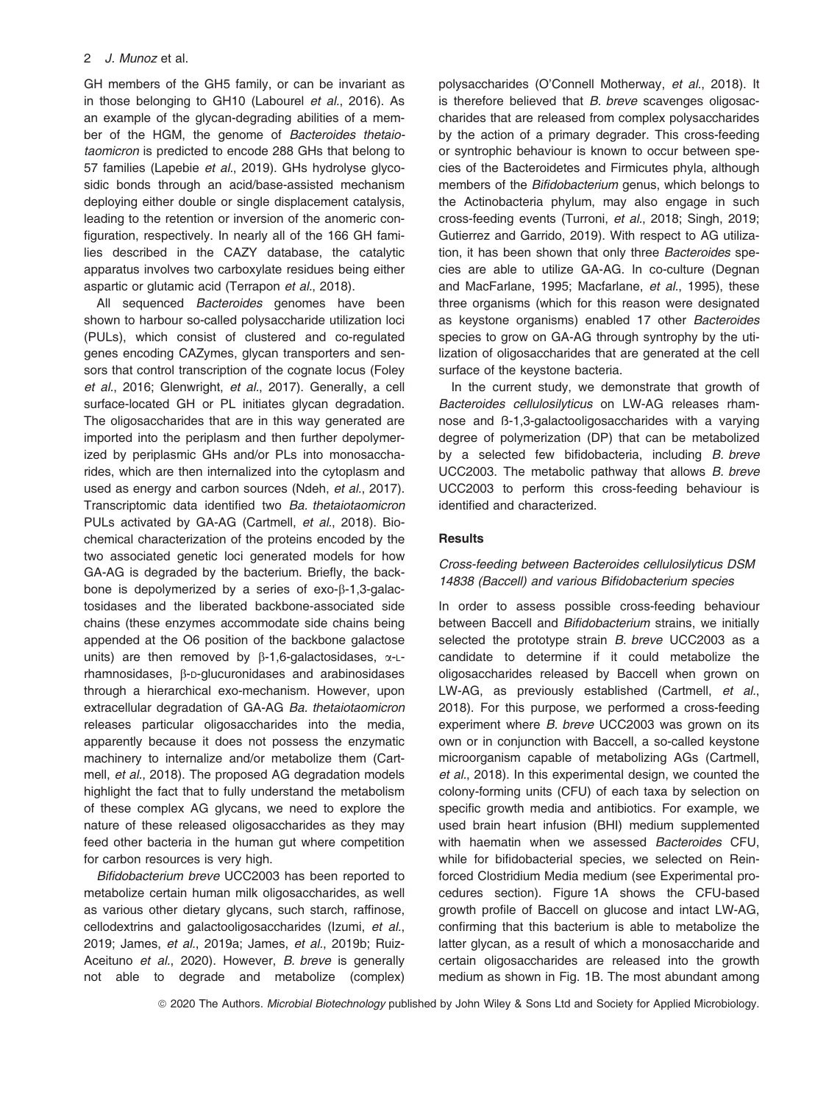GH members of the GH5 family, or can be invariant as in those belonging to GH10 (Labourel et al., 2016). As an example of the glycan-degrading abilities of a member of the HGM, the genome of Bacteroides thetaiotaomicron is predicted to encode 288 GHs that belong to 57 families (Lapebie et al., 2019). GHs hydrolyse glycosidic bonds through an acid/base-assisted mechanism deploying either double or single displacement catalysis, leading to the retention or inversion of the anomeric configuration, respectively. In nearly all of the 166 GH families described in the CAZY database, the catalytic apparatus involves two carboxylate residues being either aspartic or glutamic acid (Terrapon et al., 2018).

All sequenced Bacteroides genomes have been shown to harbour so-called polysaccharide utilization loci (PULs), which consist of clustered and co-regulated genes encoding CAZymes, glycan transporters and sensors that control transcription of the cognate locus (Foley et al., 2016; Glenwright, et al., 2017). Generally, a cell surface-located GH or PL initiates glycan degradation. The oligosaccharides that are in this way generated are imported into the periplasm and then further depolymerized by periplasmic GHs and/or PLs into monosaccharides, which are then internalized into the cytoplasm and used as energy and carbon sources (Ndeh, et al., 2017). Transcriptomic data identified two Ba. thetaiotaomicron PULs activated by GA-AG (Cartmell, et al., 2018). Biochemical characterization of the proteins encoded by the two associated genetic loci generated models for how GA-AG is degraded by the bacterium. Briefly, the backbone is depolymerized by a series of  $exo-\beta-1,3-galac$ tosidases and the liberated backbone-associated side chains (these enzymes accommodate side chains being appended at the O6 position of the backbone galactose units) are then removed by  $\beta$ -1,6-galactosidases,  $\alpha$ -Lrhamnosidases, B-p-glucuronidases and arabinosidases through a hierarchical exo-mechanism. However, upon extracellular degradation of GA-AG Ba. thetaiotaomicron releases particular oligosaccharides into the media, apparently because it does not possess the enzymatic machinery to internalize and/or metabolize them (Cartmell, et al., 2018). The proposed AG degradation models highlight the fact that to fully understand the metabolism of these complex AG glycans, we need to explore the nature of these released oligosaccharides as they may feed other bacteria in the human gut where competition for carbon resources is very high.

Bifidobacterium breve UCC2003 has been reported to metabolize certain human milk oligosaccharides, as well as various other dietary glycans, such starch, raffinose, cellodextrins and galactooligosaccharides (Izumi, et al., 2019; James, et al., 2019a; James, et al., 2019b; Ruiz-Aceituno et al., 2020). However, B. breve is generally not able to degrade and metabolize (complex) polysaccharides (O'Connell Motherway, et al., 2018). It is therefore believed that B. breve scavenges oligosaccharides that are released from complex polysaccharides by the action of a primary degrader. This cross-feeding or syntrophic behaviour is known to occur between species of the Bacteroidetes and Firmicutes phyla, although members of the Bifidobacterium genus, which belongs to the Actinobacteria phylum, may also engage in such cross-feeding events (Turroni, et al., 2018; Singh, 2019; Gutierrez and Garrido, 2019). With respect to AG utilization, it has been shown that only three Bacteroides species are able to utilize GA-AG. In co-culture (Degnan and MacFarlane, 1995; Macfarlane, et al., 1995), these three organisms (which for this reason were designated as keystone organisms) enabled 17 other Bacteroides species to grow on GA-AG through syntrophy by the utilization of oligosaccharides that are generated at the cell surface of the keystone bacteria.

In the current study, we demonstrate that growth of Bacteroides cellulosilyticus on LW-AG releases rhamnose and ß-1,3-galactooligosaccharides with a varying degree of polymerization (DP) that can be metabolized by a selected few bifidobacteria, including B. breve UCC2003. The metabolic pathway that allows B. breve UCC2003 to perform this cross-feeding behaviour is identified and characterized.

#### **Results**

# Cross-feeding between Bacteroides cellulosilyticus DSM 14838 (Baccell) and various Bifidobacterium species

In order to assess possible cross-feeding behaviour between Baccell and Bifidobacterium strains, we initially selected the prototype strain B. breve UCC2003 as a candidate to determine if it could metabolize the oligosaccharides released by Baccell when grown on LW-AG, as previously established (Cartmell, et al., 2018). For this purpose, we performed a cross-feeding experiment where B. breve UCC2003 was grown on its own or in conjunction with Baccell, a so-called keystone microorganism capable of metabolizing AGs (Cartmell, et al., 2018). In this experimental design, we counted the colony-forming units (CFU) of each taxa by selection on specific growth media and antibiotics. For example, we used brain heart infusion (BHI) medium supplemented with haematin when we assessed Bacteroides CFU, while for bifidobacterial species, we selected on Reinforced Clostridium Media medium (see Experimental procedures section). Figure 1A shows the CFU-based growth profile of Baccell on glucose and intact LW-AG, confirming that this bacterium is able to metabolize the latter glycan, as a result of which a monosaccharide and certain oligosaccharides are released into the growth medium as shown in Fig. 1B. The most abundant among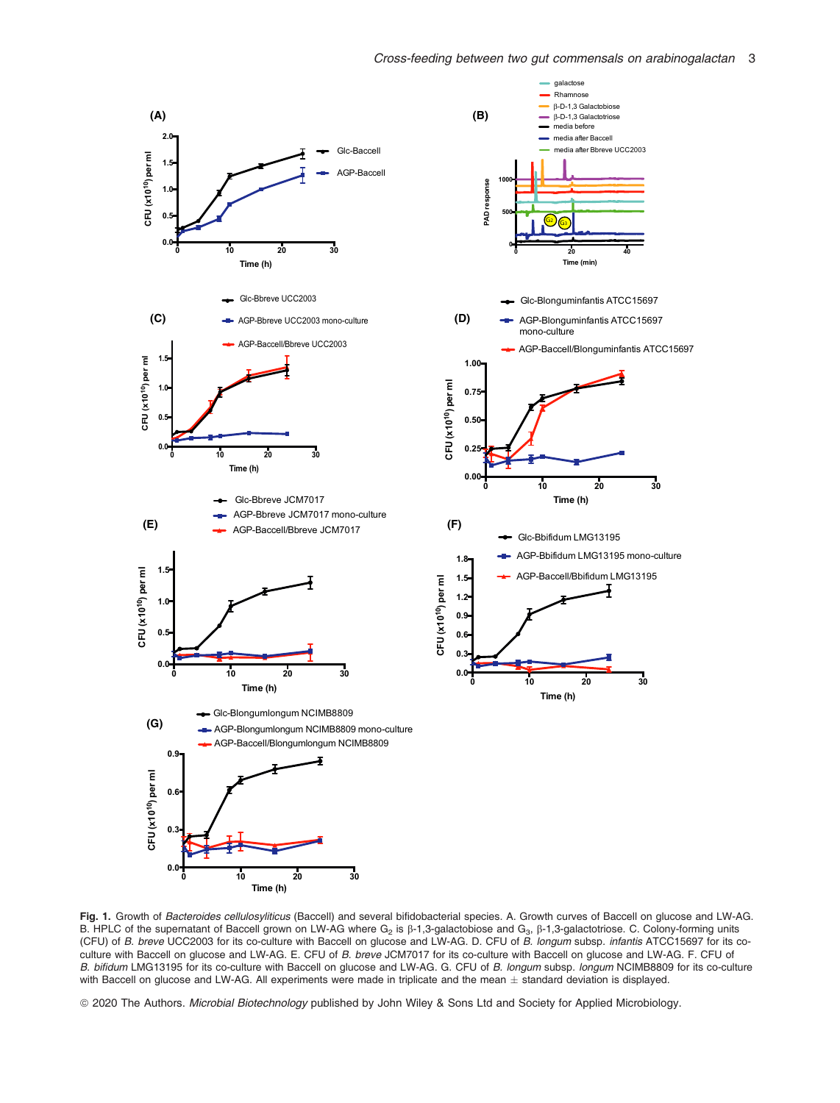Rhamnose β-D-1,3 Galactobiose media before media after Baccell media after Bbreve UCC2003

β-D-1,3 Galactotriose

**Time (min)**

 $\mathcal{G}$   $\mathcal{G}$ 

**Time (h)**

**Time (h)**



Fig. 1. Growth of Bacteroides cellulosyliticus (Baccell) and several bifidobacterial species. A. Growth curves of Baccell on glucose and LW-AG. B. HPLC of the supernatant of Baccell grown on LW-AG where  $G_2$  is  $\beta$ -1,3-galactobiose and  $G_3$ ,  $\beta$ -1,3-galactotriose. C. Colony-forming units (CFU) of B. breve UCC2003 for its co-culture with Baccell on glucose and LW-AG. D. CFU of B. longum subsp. infantis ATCC15697 for its coculture with Baccell on glucose and LW-AG. E. CFU of B. breve JCM7017 for its co-culture with Baccell on glucose and LW-AG. F. CFU of B. bifidum LMG13195 for its co-culture with Baccell on glucose and LW-AG. G. CFU of B. longum subsp. longum NCIMB8809 for its co-culture with Baccell on glucose and LW-AG. All experiments were made in triplicate and the mean  $\pm$  standard deviation is displayed.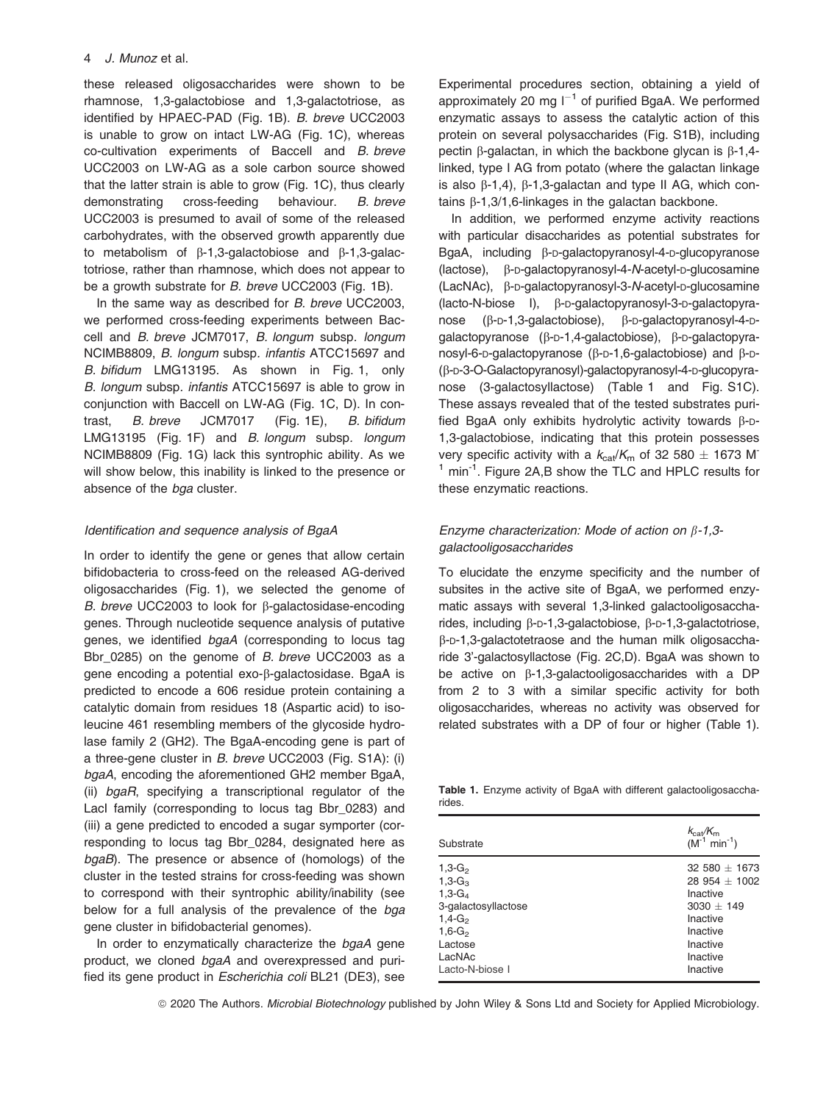these released oligosaccharides were shown to be rhamnose, 1,3-galactobiose and 1,3-galactotriose, as identified by HPAEC-PAD (Fig. 1B). B. breve UCC2003 is unable to grow on intact LW-AG (Fig. 1C), whereas co-cultivation experiments of Baccell and B. breve UCC2003 on LW-AG as a sole carbon source showed that the latter strain is able to grow (Fig. 1C), thus clearly demonstrating cross-feeding behaviour. B. breve UCC2003 is presumed to avail of some of the released carbohydrates, with the observed growth apparently due to metabolism of  $\beta$ -1,3-galactobiose and  $\beta$ -1,3-galactotriose, rather than rhamnose, which does not appear to be a growth substrate for B. breve UCC2003 (Fig. 1B).

In the same way as described for B. breve UCC2003, we performed cross-feeding experiments between Baccell and B. breve JCM7017, B. longum subsp. longum NCIMB8809, B. longum subsp. infantis ATCC15697 and B. bifidum LMG13195. As shown in Fig. 1, only B. longum subsp. infantis ATCC15697 is able to grow in conjunction with Baccell on LW-AG (Fig. 1C, D). In contrast, B. breve JCM7017 (Fig. 1E), B. bifidum LMG13195 (Fig. 1F) and B. longum subsp. longum NCIMB8809 (Fig. 1G) lack this syntrophic ability. As we will show below, this inability is linked to the presence or absence of the bga cluster.

# Identification and sequence analysis of BgaA

In order to identify the gene or genes that allow certain bifidobacteria to cross-feed on the released AG-derived oligosaccharides (Fig. 1), we selected the genome of B. breve UCC2003 to look for  $\beta$ -galactosidase-encoding genes. Through nucleotide sequence analysis of putative genes, we identified bgaA (corresponding to locus tag Bbr\_0285) on the genome of B. breve UCC2003 as a gene encoding a potential exo-b-galactosidase. BgaA is predicted to encode a 606 residue protein containing a catalytic domain from residues 18 (Aspartic acid) to isoleucine 461 resembling members of the glycoside hydrolase family 2 (GH2). The BgaA-encoding gene is part of a three-gene cluster in B. breve UCC2003 (Fig. S1A): (i) bgaA, encoding the aforementioned GH2 member BgaA, (ii) bgaR, specifying a transcriptional regulator of the LacI family (corresponding to locus tag Bbr\_0283) and (iii) a gene predicted to encoded a sugar symporter (corresponding to locus tag Bbr\_0284, designated here as bgaB). The presence or absence of (homologs) of the cluster in the tested strains for cross-feeding was shown to correspond with their syntrophic ability/inability (see below for a full analysis of the prevalence of the bga gene cluster in bifidobacterial genomes).

In order to enzymatically characterize the bgaA gene product, we cloned bgaA and overexpressed and purified its gene product in Escherichia coli BL21 (DE3), see Experimental procedures section, obtaining a yield of approximately 20 mg  $I^{-1}$  of purified BgaA. We performed enzymatic assays to assess the catalytic action of this protein on several polysaccharides (Fig. S1B), including pectin  $\beta$ -galactan, in which the backbone glycan is  $\beta$ -1,4linked, type I AG from potato (where the galactan linkage is also  $\beta$ -1,4),  $\beta$ -1,3-galactan and type II AG, which contains  $\beta$ -1,3/1,6-linkages in the galactan backbone.

In addition, we performed enzyme activity reactions with particular disaccharides as potential substrates for BgaA, including B-p-galactopyranosyl-4-p-glucopyranose (lactose), β-D-galactopyranosyl-4-N-acetyl-D-glucosamine (LacNAc), b-D-galactopyranosyl-3-N-acetyl-D-glucosamine (lacto-N-biose I), β-p-galactopyranosyl-3-p-galactopyranose  $(\beta$ -p-1,3-galactobiose),  $\beta$ -p-galactopyranosyl-4-pgalactopyranose (b-D-1,4-galactobiose), b-D-galactopyranosyl-6-p-galactopyranose ( $\beta$ -p-1,6-galactobiose) and  $\beta$ -p-(b-D-3-O-Galactopyranosyl)-galactopyranosyl-4-D-glucopyranose (3-galactosyllactose) (Table 1 and Fig. S1C). These assays revealed that of the tested substrates purified BgaA only exhibits hydrolytic activity towards  $\beta$ -D-1,3-galactobiose, indicating that this protein possesses very specific activity with a  $k_{\text{cat}}/K_{\text{m}}$  of 32 580  $\pm$  1673 M<sup>-</sup>  $<sup>1</sup>$  min<sup>-1</sup>. Figure 2A,B show the TLC and HPLC results for</sup> these enzymatic reactions.

# Enzyme characterization: Mode of action on  $\beta$ -1,3galactooligosaccharides

To elucidate the enzyme specificity and the number of subsites in the active site of BgaA, we performed enzymatic assays with several 1,3-linked galactooligosaccharides, including β-p-1,3-galactobiose, β-p-1,3-galactotriose, b-D-1,3-galactotetraose and the human milk oligosaccharide 3'-galactosyllactose (Fig. 2C,D). BgaA was shown to be active on  $\beta$ -1,3-galactooligosaccharides with a DP from 2 to 3 with a similar specific activity for both oligosaccharides, whereas no activity was observed for related substrates with a DP of four or higher (Table 1).

Table 1. Enzyme activity of BgaA with different galactooligosaccharides.

| Substrate           | $k_{\text{cat}}/K_{\text{m}}$<br>$(M^{-1} \text{ min}^{-1})$ |
|---------------------|--------------------------------------------------------------|
| $1,3-G_2$           | $32580 + 1673$                                               |
| $1.3 - G3$          | $28954 + 1002$                                               |
| $1,3-G_4$           | Inactive                                                     |
| 3-galactosyllactose | $3030 + 149$                                                 |
| $1.4 - G2$          | Inactive                                                     |
| $1,6-G_2$           | Inactive                                                     |
| Lactose             | Inactive                                                     |
| LacNAc              | Inactive                                                     |
| Lacto-N-biose I     | Inactive                                                     |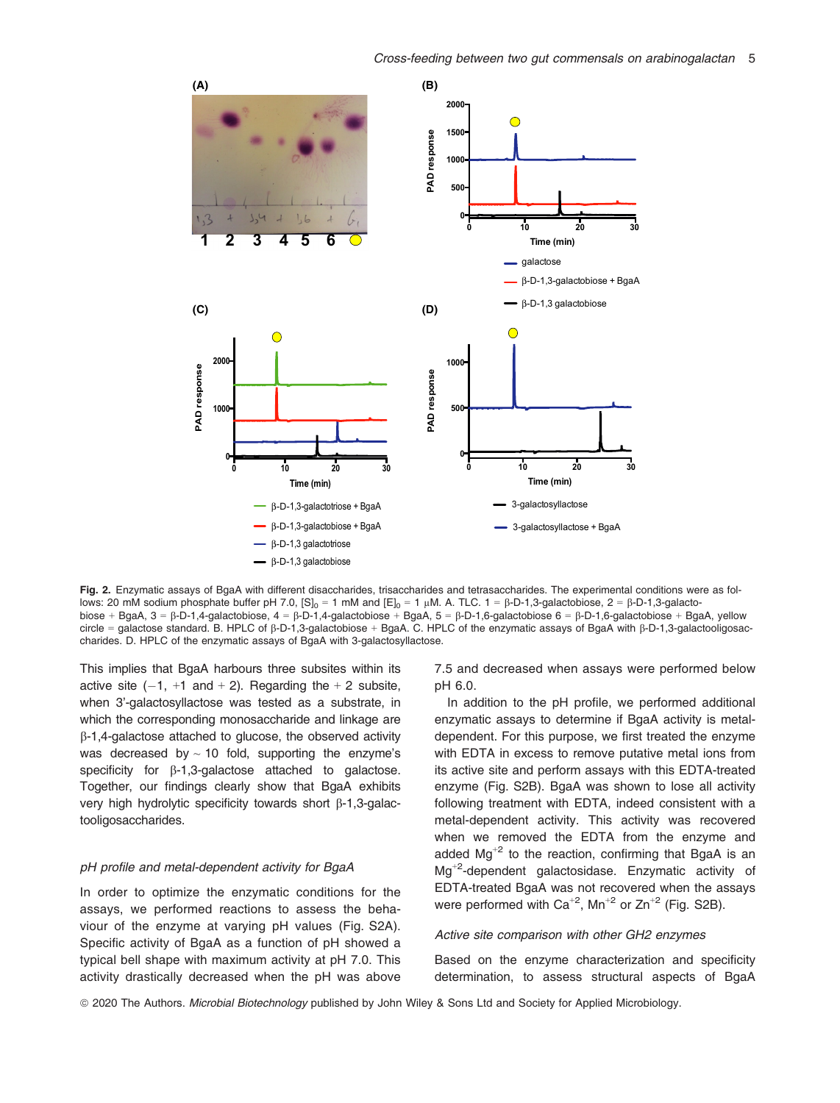

Fig. 2. Enzymatic assays of BgaA with different disaccharides, trisaccharides and tetrasaccharides. The experimental conditions were as follows: 20 mM sodium phosphate buffer pH 7.0,  $[S]_0 = 1$  mM and  $[E]_0 = 1$  uM. A. TLC.  $1 = \beta$ -D-1,3-galactobiose,  $2 = \beta$ -D-1,3-galactobiose + BgaA, 3 =  $\beta$ -D-1,4-galactobiose, 4 =  $\beta$ -D-1,4-galactobiose + BgaA, 5 =  $\beta$ -D-1,6-galactobiose 6 =  $\beta$ -D-1,6-galactobiose + BgaA, yellow circle = galactose standard. B. HPLC of  $\beta$ -D-1,3-galactobiose + BgaA. C. HPLC of the enzymatic assays of BgaA with  $\beta$ -D-1,3-galactooligosaccharides. D. HPLC of the enzymatic assays of BgaA with 3-galactosyllactose.

This implies that BgaA harbours three subsites within its active site  $(-1, +1, -1)$  and  $+ 2$ ). Regarding the  $+ 2$  subsite, when 3'-galactosyllactose was tested as a substrate, in which the corresponding monosaccharide and linkage are  $\beta$ -1,4-galactose attached to glucose, the observed activity was decreased by  $\sim$  10 fold, supporting the enzyme's specificity for  $\beta$ -1,3-galactose attached to galactose. Together, our findings clearly show that BgaA exhibits very high hydrolytic specificity towards short  $\beta$ -1,3-galactooligosaccharides.

#### pH profile and metal-dependent activity for BgaA

In order to optimize the enzymatic conditions for the assays, we performed reactions to assess the behaviour of the enzyme at varying pH values (Fig. S2A). Specific activity of BgaA as a function of pH showed a typical bell shape with maximum activity at pH 7.0. This activity drastically decreased when the pH was above

7.5 and decreased when assays were performed below pH 6.0.

In addition to the pH profile, we performed additional enzymatic assays to determine if BgaA activity is metaldependent. For this purpose, we first treated the enzyme with EDTA in excess to remove putative metal ions from its active site and perform assays with this EDTA-treated enzyme (Fig. S2B). BgaA was shown to lose all activity following treatment with EDTA, indeed consistent with a metal-dependent activity. This activity was recovered when we removed the EDTA from the enzyme and added  $Mg^{2}$  to the reaction, confirming that BgaA is an Mg+<sup>2</sup> -dependent galactosidase. Enzymatic activity of EDTA-treated BgaA was not recovered when the assays were performed with  $Ca^{+2}$ , Mn<sup>+2</sup> or Zn<sup>+2</sup> (Fig. S2B).

# Active site comparison with other GH2 enzymes

Based on the enzyme characterization and specificity determination, to assess structural aspects of BgaA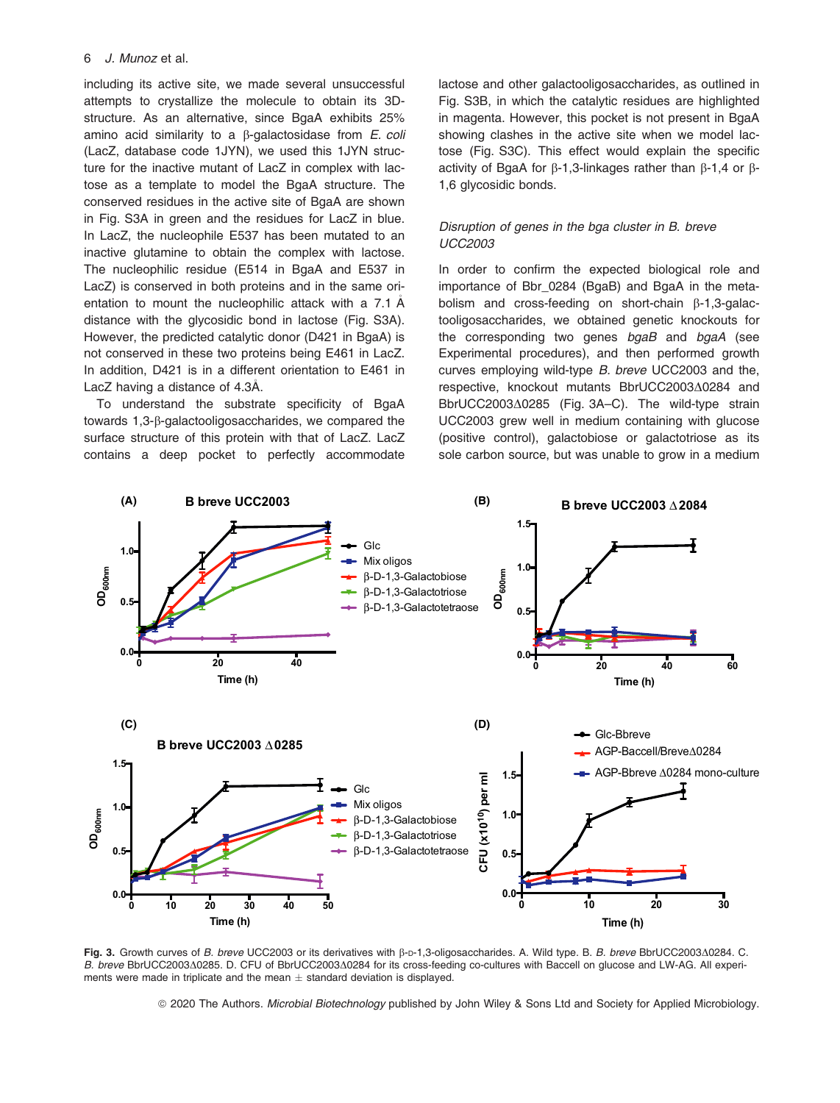including its active site, we made several unsuccessful attempts to crystallize the molecule to obtain its 3Dstructure. As an alternative, since BgaA exhibits 25% amino acid similarity to a  $\beta$ -galactosidase from *E. coli* (LacZ, database code 1JYN), we used this 1JYN structure for the inactive mutant of LacZ in complex with lactose as a template to model the BgaA structure. The conserved residues in the active site of BgaA are shown in Fig. S3A in green and the residues for LacZ in blue. In LacZ, the nucleophile E537 has been mutated to an inactive glutamine to obtain the complex with lactose. The nucleophilic residue (E514 in BgaA and E537 in LacZ) is conserved in both proteins and in the same orientation to mount the nucleophilic attack with a 7.1  $\AA$ distance with the glycosidic bond in lactose (Fig. S3A). However, the predicted catalytic donor (D421 in BgaA) is not conserved in these two proteins being E461 in LacZ. In addition, D421 is in a different orientation to E461 in LacZ having a distance of 4.3Å.

To understand the substrate specificity of BgaA towards 1,3-b-galactooligosaccharides, we compared the surface structure of this protein with that of LacZ. LacZ contains a deep pocket to perfectly accommodate

lactose and other galactooligosaccharides, as outlined in Fig. S3B, in which the catalytic residues are highlighted in magenta. However, this pocket is not present in BgaA showing clashes in the active site when we model lactose (Fig. S3C). This effect would explain the specific activity of BgaA for  $\beta$ -1,3-linkages rather than  $\beta$ -1,4 or  $\beta$ -1,6 glycosidic bonds.

# Disruption of genes in the bga cluster in B. breve UCC2003

In order to confirm the expected biological role and importance of Bbr 0284 (BgaB) and BgaA in the metabolism and cross-feeding on short-chain  $\beta$ -1,3-galactooligosaccharides, we obtained genetic knockouts for the corresponding two genes bgaB and bgaA (see Experimental procedures), and then performed growth curves employing wild-type B. breve UCC2003 and the, respective, knockout mutants BbrUCC2003 $\triangle$ 0284 and BbrUCC2003 $\triangle$ 0285 (Fig. 3A–C). The wild-type strain UCC2003 grew well in medium containing with glucose (positive control), galactobiose or galactotriose as its sole carbon source, but was unable to grow in a medium



Fig. 3. Growth curves of B. breve UCC2003 or its derivatives with  $\beta$ -D-1,3-oligosaccharides. A. Wild type. B. B. breve BbrUCC2003 $\triangle$ 0284. C. B. breve BbrUCC2003 $\triangle$ 0285. D. CFU of BbrUCC2003 $\triangle$ 0284 for its cross-feeding co-cultures with Baccell on glucose and LW-AG. All experiments were made in triplicate and the mean  $\pm$  standard deviation is displayed.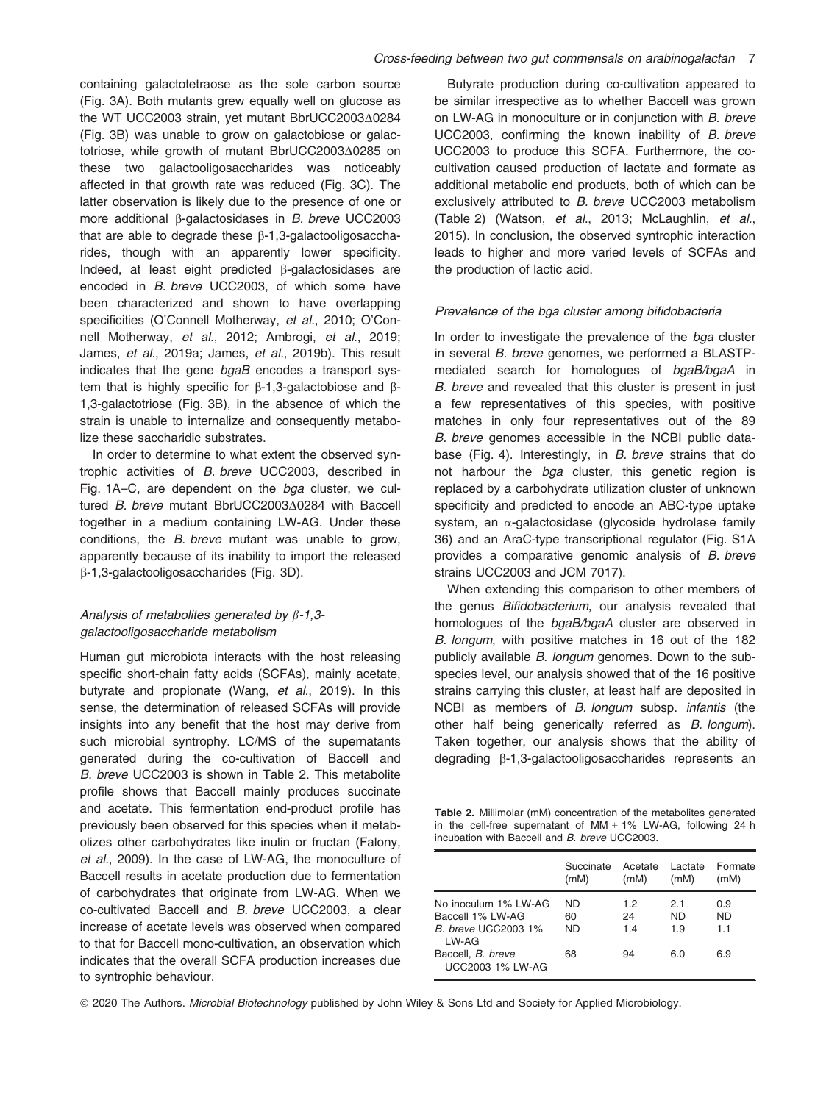containing galactotetraose as the sole carbon source (Fig. 3A). Both mutants grew equally well on glucose as the WT UCC2003 strain, yet mutant BbrUCC2003 $\Delta$ 0284 (Fig. 3B) was unable to grow on galactobiose or galactotriose, while growth of mutant BbrUCC2003 $\Delta$ 0285 on these two galactooligosaccharides was noticeably affected in that growth rate was reduced (Fig. 3C). The latter observation is likely due to the presence of one or more additional  $\beta$ -galactosidases in B. breve UCC2003 that are able to degrade these  $\beta$ -1,3-galactooligosaccharides, though with an apparently lower specificity. Indeed, at least eight predicted b-galactosidases are encoded in B. breve UCC2003, of which some have been characterized and shown to have overlapping specificities (O'Connell Motherway, et al., 2010; O'Connell Motherway, et al., 2012; Ambrogi, et al., 2019; James, et al., 2019a; James, et al., 2019b). This result indicates that the gene bgaB encodes a transport system that is highly specific for  $\beta$ -1,3-galactobiose and  $\beta$ -1,3-galactotriose (Fig. 3B), in the absence of which the strain is unable to internalize and consequently metabolize these saccharidic substrates.

In order to determine to what extent the observed syntrophic activities of B. breve UCC2003, described in Fig. 1A–C, are dependent on the bga cluster, we cultured  $B$ . breve mutant BbrUCC2003 $\triangle$ 0284 with Baccell together in a medium containing LW-AG. Under these conditions, the B. breve mutant was unable to grow, apparently because of its inability to import the released b-1,3-galactooligosaccharides (Fig. 3D).

# Analysis of metabolites generated by  $\beta$ -1,3galactooligosaccharide metabolism

Human gut microbiota interacts with the host releasing specific short-chain fatty acids (SCFAs), mainly acetate, butyrate and propionate (Wang, et al., 2019). In this sense, the determination of released SCFAs will provide insights into any benefit that the host may derive from such microbial syntrophy. LC/MS of the supernatants generated during the co-cultivation of Baccell and B. breve UCC2003 is shown in Table 2. This metabolite profile shows that Baccell mainly produces succinate and acetate. This fermentation end-product profile has previously been observed for this species when it metabolizes other carbohydrates like inulin or fructan (Falony, et al., 2009). In the case of LW-AG, the monoculture of Baccell results in acetate production due to fermentation of carbohydrates that originate from LW-AG. When we co-cultivated Baccell and B. breve UCC2003, a clear increase of acetate levels was observed when compared to that for Baccell mono-cultivation, an observation which indicates that the overall SCFA production increases due to syntrophic behaviour.

Butyrate production during co-cultivation appeared to be similar irrespective as to whether Baccell was grown on LW-AG in monoculture or in conjunction with B. breve UCC2003, confirming the known inability of B. breve UCC2003 to produce this SCFA. Furthermore, the cocultivation caused production of lactate and formate as additional metabolic end products, both of which can be exclusively attributed to B. breve UCC2003 metabolism (Table 2) (Watson, et al., 2013; McLaughlin, et al., 2015). In conclusion, the observed syntrophic interaction leads to higher and more varied levels of SCFAs and the production of lactic acid.

#### Prevalence of the bga cluster among bifidobacteria

In order to investigate the prevalence of the bga cluster in several B. breve genomes, we performed a BLASTPmediated search for homologues of bgaB/bgaA in B. breve and revealed that this cluster is present in just a few representatives of this species, with positive matches in only four representatives out of the 89 B. breve genomes accessible in the NCBI public database (Fig. 4). Interestingly, in B. breve strains that do not harbour the bga cluster, this genetic region is replaced by a carbohydrate utilization cluster of unknown specificity and predicted to encode an ABC-type uptake system, an  $\alpha$ -galactosidase (glycoside hydrolase family 36) and an AraC-type transcriptional regulator (Fig. S1A provides a comparative genomic analysis of B. breve strains UCC2003 and JCM 7017).

When extending this comparison to other members of the genus Bifidobacterium, our analysis revealed that homologues of the bgaB/bgaA cluster are observed in B. longum, with positive matches in 16 out of the 182 publicly available B. longum genomes. Down to the subspecies level, our analysis showed that of the 16 positive strains carrying this cluster, at least half are deposited in NCBI as members of B. longum subsp. infantis (the other half being generically referred as B. longum). Taken together, our analysis shows that the ability of degrading β-1,3-galactooligosaccharides represents an

Table 2. Millimolar (mM) concentration of the metabolites generated in the cell-free supernatant of MM + 1% LW-AG, following 24 h incubation with Baccell and B. breve UCC2003.

|                                                                                   | Succinate<br>(mM)     | Acetate<br>(mM)  | Lactate<br>(mM)   | Formate<br>(mM)  |
|-----------------------------------------------------------------------------------|-----------------------|------------------|-------------------|------------------|
| No inoculum 1% LW-AG<br>Baccell 1% I W-AG<br><b>B.</b> breve UCC2003 1%<br>I W-AG | ND<br>60<br><b>ND</b> | 1.2<br>24<br>1.4 | 2.1<br>ND.<br>1.9 | 0.9<br>ND<br>1.1 |
| Baccell, <i>B. breve</i><br>UCC2003 1% LW-AG                                      | 68                    | 94               | 6.0               | 6.9              |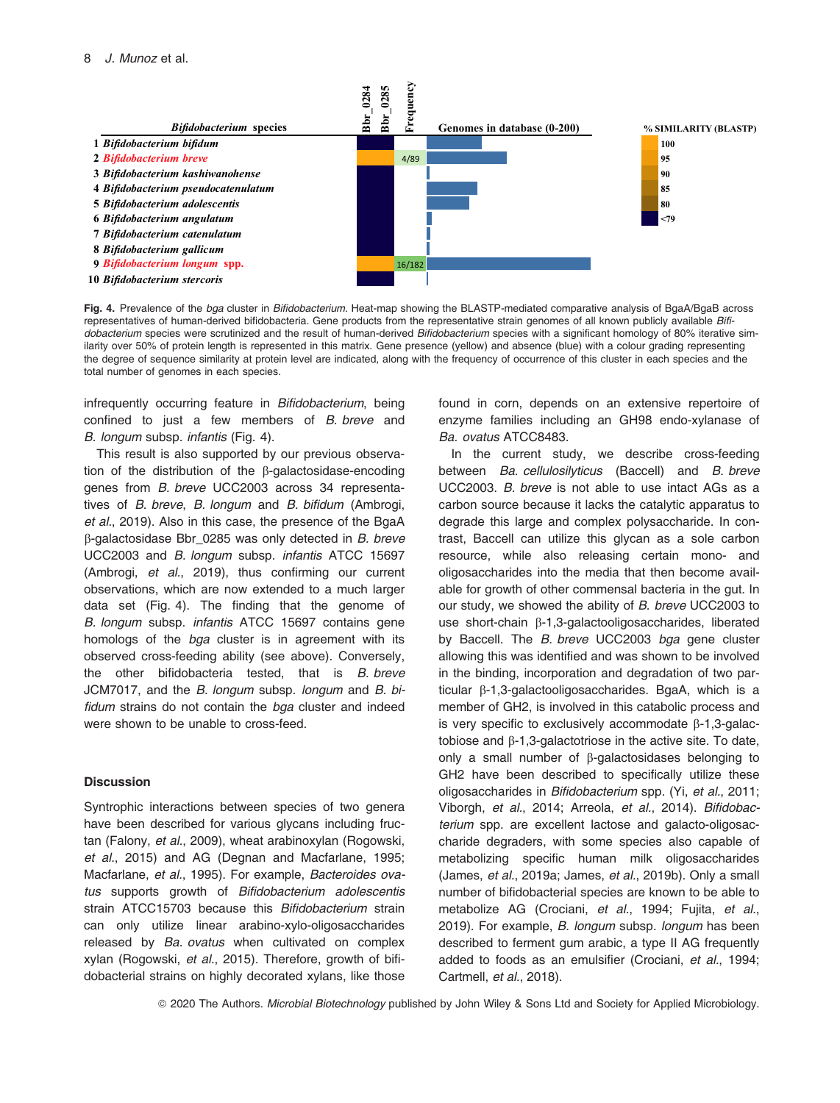

Fig. 4. Prevalence of the bga cluster in Bifidobacterium. Heat-map showing the BLASTP-mediated comparative analysis of BgaA/BgaB across representatives of human-derived bifidobacteria. Gene products from the representative strain genomes of all known publicly available Bifidobacterium species were scrutinized and the result of human-derived Bifidobacterium species with a significant homology of 80% iterative similarity over 50% of protein length is represented in this matrix. Gene presence (yellow) and absence (blue) with a colour grading representing the degree of sequence similarity at protein level are indicated, along with the frequency of occurrence of this cluster in each species and the total number of genomes in each species.

infrequently occurring feature in Bifidobacterium, being confined to just a few members of B. breve and B. longum subsp. infantis (Fig. 4).

This result is also supported by our previous observation of the distribution of the b-galactosidase-encoding genes from B. breve UCC2003 across 34 representatives of B. breve, B. longum and B. bifidum (Ambrogi, et al., 2019). Also in this case, the presence of the BgaA  $\beta$ -galactosidase Bbr\_0285 was only detected in B. breve UCC2003 and B. longum subsp. infantis ATCC 15697 (Ambrogi, et al., 2019), thus confirming our current observations, which are now extended to a much larger data set (Fig. 4). The finding that the genome of B. longum subsp. infantis ATCC 15697 contains gene homologs of the *bga* cluster is in agreement with its observed cross-feeding ability (see above). Conversely, the other bifidobacteria tested, that is B. breve JCM7017, and the B. longum subsp. longum and B. bifidum strains do not contain the bga cluster and indeed were shown to be unable to cross-feed.

# **Discussion**

Syntrophic interactions between species of two genera have been described for various glycans including fructan (Falony, et al., 2009), wheat arabinoxylan (Rogowski, et al., 2015) and AG (Degnan and Macfarlane, 1995; Macfarlane, et al., 1995). For example, Bacteroides ovatus supports growth of Bifidobacterium adolescentis strain ATCC15703 because this Bifidobacterium strain can only utilize linear arabino-xylo-oligosaccharides released by Ba. ovatus when cultivated on complex xylan (Rogowski, et al., 2015). Therefore, growth of bifidobacterial strains on highly decorated xylans, like those

found in corn, depends on an extensive repertoire of enzyme families including an GH98 endo-xylanase of Ba. ovatus ATCC8483.

In the current study, we describe cross-feeding between Ba. cellulosilyticus (Baccell) and B. breve UCC2003. B. breve is not able to use intact AGs as a carbon source because it lacks the catalytic apparatus to degrade this large and complex polysaccharide. In contrast, Baccell can utilize this glycan as a sole carbon resource, while also releasing certain mono- and oligosaccharides into the media that then become available for growth of other commensal bacteria in the gut. In our study, we showed the ability of B. breve UCC2003 to use short-chain  $\beta$ -1,3-galactooligosaccharides, liberated by Baccell. The B. breve UCC2003 bga gene cluster allowing this was identified and was shown to be involved in the binding, incorporation and degradation of two particular β-1,3-galactooligosaccharides. BgaA, which is a member of GH2, is involved in this catabolic process and is very specific to exclusively accommodate  $\beta$ -1,3-galactobiose and  $\beta$ -1,3-galactotriose in the active site. To date, only a small number of b-galactosidases belonging to GH2 have been described to specifically utilize these oligosaccharides in Bifidobacterium spp. (Yi, et al., 2011; Viborgh, et al., 2014; Arreola, et al., 2014). Bifidobacterium spp. are excellent lactose and galacto-oligosaccharide degraders, with some species also capable of metabolizing specific human milk oligosaccharides (James, et al., 2019a; James, et al., 2019b). Only a small number of bifidobacterial species are known to be able to metabolize AG (Crociani, et al., 1994; Fujita, et al., 2019). For example, B. longum subsp. longum has been described to ferment gum arabic, a type II AG frequently added to foods as an emulsifier (Crociani, et al., 1994; Cartmell, et al., 2018).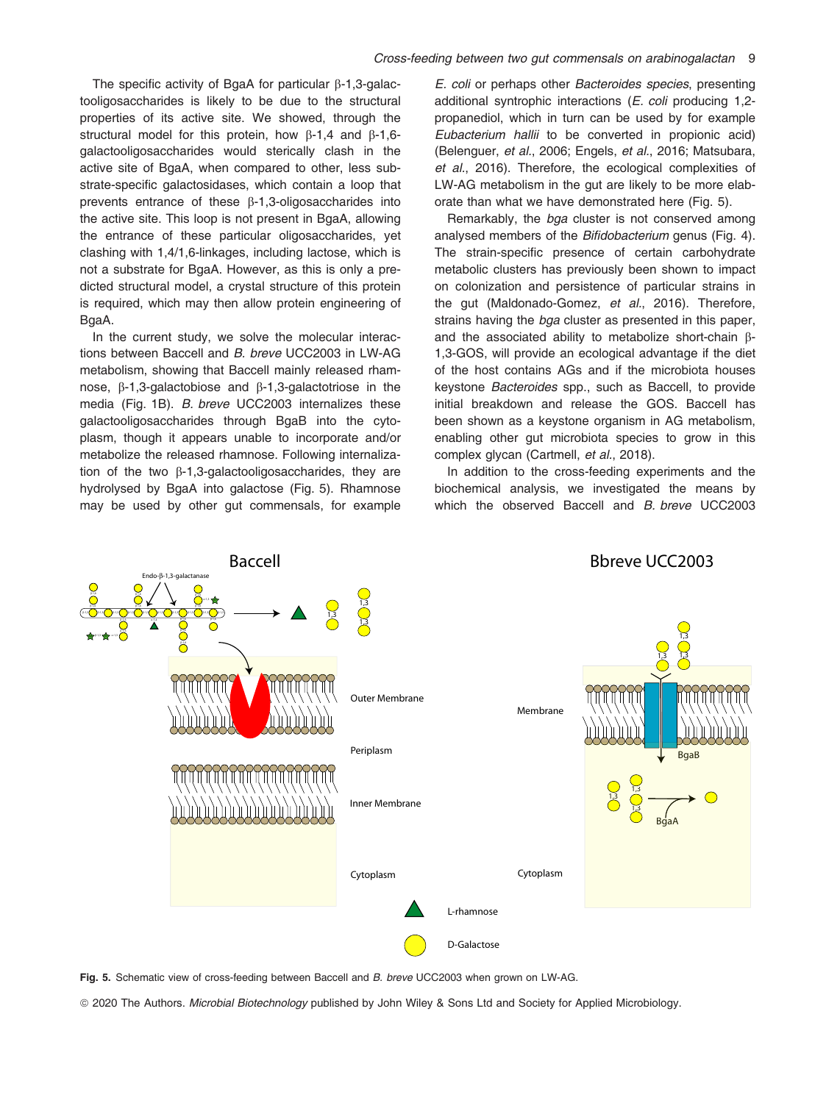The specific activity of BgaA for particular  $\beta$ -1,3-galactooligosaccharides is likely to be due to the structural properties of its active site. We showed, through the structural model for this protein, how  $\beta$ -1,4 and  $\beta$ -1,6galactooligosaccharides would sterically clash in the active site of BgaA, when compared to other, less substrate-specific galactosidases, which contain a loop that prevents entrance of these  $\beta$ -1,3-oligosaccharides into the active site. This loop is not present in BgaA, allowing the entrance of these particular oligosaccharides, yet clashing with 1,4/1,6-linkages, including lactose, which is not a substrate for BgaA. However, as this is only a predicted structural model, a crystal structure of this protein is required, which may then allow protein engineering of BgaA.

In the current study, we solve the molecular interactions between Baccell and B. breve UCC2003 in LW-AG metabolism, showing that Baccell mainly released rhamnose,  $\beta$ -1,3-galactobiose and  $\beta$ -1,3-galactotriose in the media (Fig. 1B). B. breve UCC2003 internalizes these galactooligosaccharides through BgaB into the cytoplasm, though it appears unable to incorporate and/or metabolize the released rhamnose. Following internalization of the two  $\beta$ -1,3-galactooligosaccharides, they are hydrolysed by BgaA into galactose (Fig. 5). Rhamnose may be used by other gut commensals, for example E. coli or perhaps other Bacteroides species, presenting additional syntrophic interactions (E. coli producing 1,2 propanediol, which in turn can be used by for example Eubacterium hallii to be converted in propionic acid) (Belenguer, et al., 2006; Engels, et al., 2016; Matsubara, et al., 2016). Therefore, the ecological complexities of LW-AG metabolism in the gut are likely to be more elaborate than what we have demonstrated here (Fig. 5).

Remarkably, the bga cluster is not conserved among analysed members of the Bifidobacterium genus (Fig. 4). The strain-specific presence of certain carbohydrate metabolic clusters has previously been shown to impact on colonization and persistence of particular strains in the gut (Maldonado-Gomez, et al., 2016). Therefore, strains having the *bga* cluster as presented in this paper, and the associated ability to metabolize short-chain  $\beta$ -1,3-GOS, will provide an ecological advantage if the diet of the host contains AGs and if the microbiota houses keystone Bacteroides spp., such as Baccell, to provide initial breakdown and release the GOS. Baccell has been shown as a keystone organism in AG metabolism, enabling other gut microbiota species to grow in this complex glycan (Cartmell, et al., 2018).

In addition to the cross-feeding experiments and the biochemical analysis, we investigated the means by which the observed Baccell and B. breve UCC2003



Fig. 5. Schematic view of cross-feeding between Baccell and B. breve UCC2003 when grown on LW-AG.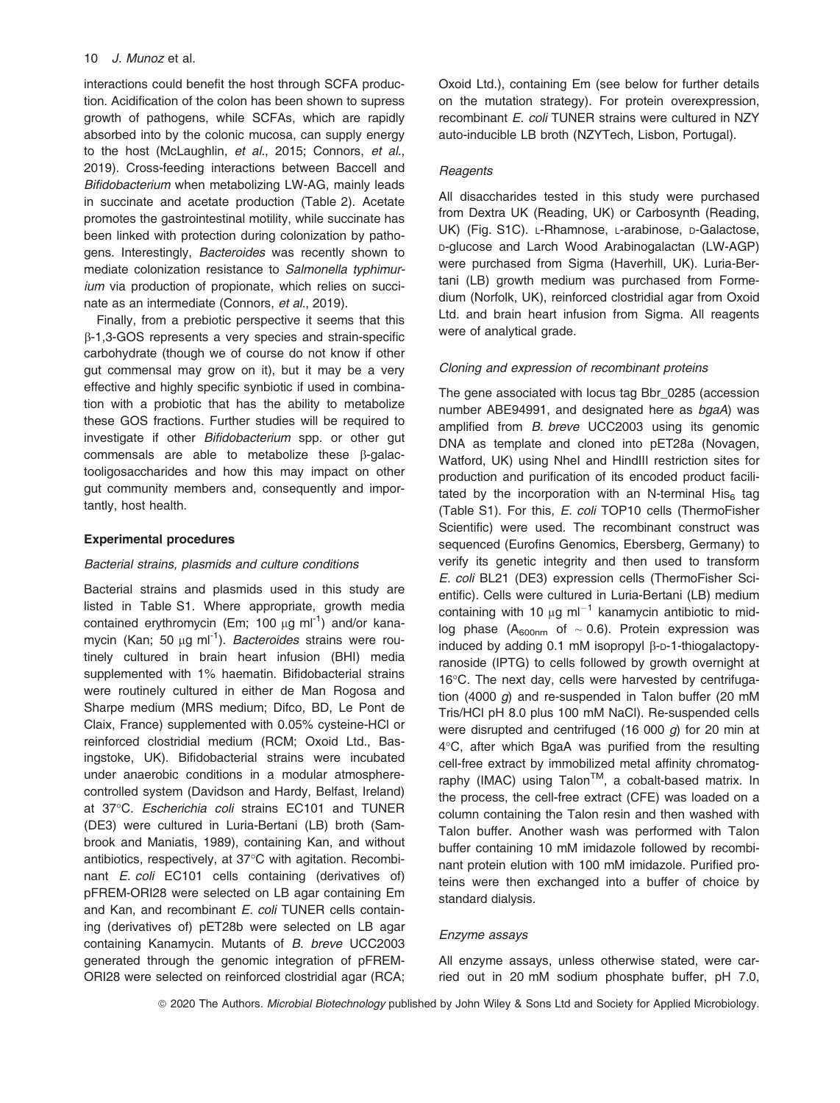interactions could benefit the host through SCFA production. Acidification of the colon has been shown to supress growth of pathogens, while SCFAs, which are rapidly absorbed into by the colonic mucosa, can supply energy to the host (McLaughlin, et al., 2015; Connors, et al., 2019). Cross-feeding interactions between Baccell and Bifidobacterium when metabolizing LW-AG, mainly leads in succinate and acetate production (Table 2). Acetate promotes the gastrointestinal motility, while succinate has been linked with protection during colonization by pathogens. Interestingly, Bacteroides was recently shown to mediate colonization resistance to Salmonella typhimurium via production of propionate, which relies on succinate as an intermediate (Connors, et al., 2019).

Finally, from a prebiotic perspective it seems that this b-1,3-GOS represents a very species and strain-specific carbohydrate (though we of course do not know if other gut commensal may grow on it), but it may be a very effective and highly specific synbiotic if used in combination with a probiotic that has the ability to metabolize these GOS fractions. Further studies will be required to investigate if other Bifidobacterium spp. or other gut commensals are able to metabolize these  $\beta$ -galactooligosaccharides and how this may impact on other gut community members and, consequently and importantly, host health.

# Experimental procedures

# Bacterial strains, plasmids and culture conditions

Bacterial strains and plasmids used in this study are listed in Table S1. Where appropriate, growth media contained erythromycin (Em; 100  $\mu$ g ml<sup>-1</sup>) and/or kanamycin (Kan; 50  $\mu$ g ml<sup>-1</sup>). Bacteroides strains were routinely cultured in brain heart infusion (BHI) media supplemented with 1% haematin. Bifidobacterial strains were routinely cultured in either de Man Rogosa and Sharpe medium (MRS medium; Difco, BD, Le Pont de Claix, France) supplemented with 0.05% cysteine-HCl or reinforced clostridial medium (RCM; Oxoid Ltd., Basingstoke, UK). Bifidobacterial strains were incubated under anaerobic conditions in a modular atmospherecontrolled system (Davidson and Hardy, Belfast, Ireland) at 37°C. Escherichia coli strains EC101 and TUNER (DE3) were cultured in Luria-Bertani (LB) broth (Sambrook and Maniatis, 1989), containing Kan, and without antibiotics, respectively, at 37°C with agitation. Recombinant E. coli EC101 cells containing (derivatives of) pFREM-ORI28 were selected on LB agar containing Em and Kan, and recombinant E. coli TUNER cells containing (derivatives of) pET28b were selected on LB agar containing Kanamycin. Mutants of B. breve UCC2003 generated through the genomic integration of pFREM-ORI28 were selected on reinforced clostridial agar (RCA; Oxoid Ltd.), containing Em (see below for further details on the mutation strategy). For protein overexpression, recombinant E. coli TUNER strains were cultured in NZY auto-inducible LB broth (NZYTech, Lisbon, Portugal).

#### **Reagents**

All disaccharides tested in this study were purchased from Dextra UK (Reading, UK) or Carbosynth (Reading, UK) (Fig. S1C). L-Rhamnose, L-arabinose, D-Galactose, D-glucose and Larch Wood Arabinogalactan (LW-AGP) were purchased from Sigma (Haverhill, UK). Luria-Bertani (LB) growth medium was purchased from Formedium (Norfolk, UK), reinforced clostridial agar from Oxoid Ltd. and brain heart infusion from Sigma. All reagents were of analytical grade.

#### Cloning and expression of recombinant proteins

The gene associated with locus tag Bbr\_0285 (accession number [ABE94991,](http://www.ncbi.nlm.nih.gov/nuccore/ABE94991) and designated here as bgaA) was amplified from B. breve UCC2003 using its genomic DNA as template and cloned into pET28a (Novagen, Watford, UK) using NheI and HindIII restriction sites for production and purification of its encoded product facilitated by the incorporation with an N-terminal  $His<sub>6</sub>$  tag (Table S1). For this, E. coli TOP10 cells (ThermoFisher Scientific) were used. The recombinant construct was sequenced (Eurofins Genomics, Ebersberg, Germany) to verify its genetic integrity and then used to transform E. coli BL21 (DE3) expression cells (ThermoFisher Scientific). Cells were cultured in Luria-Bertani (LB) medium containing with 10  $\mu$ g ml<sup>-1</sup> kanamycin antibiotic to midlog phase  $(A_{600nm}$  of  $\sim$  0.6). Protein expression was induced by adding  $0.1$  mM isopropyl  $\beta$ -D-1-thiogalactopyranoside (IPTG) to cells followed by growth overnight at 16°C. The next day, cells were harvested by centrifugation (4000 g) and re-suspended in Talon buffer (20 mM Tris/HCl pH 8.0 plus 100 mM NaCl). Re-suspended cells were disrupted and centrifuged (16 000 g) for 20 min at 4°C, after which BgaA was purified from the resulting cell-free extract by immobilized metal affinity chromatography (IMAC) using Talon™, a cobalt-based matrix. In the process, the cell-free extract (CFE) was loaded on a column containing the Talon resin and then washed with Talon buffer. Another wash was performed with Talon buffer containing 10 mM imidazole followed by recombinant protein elution with 100 mM imidazole. Purified proteins were then exchanged into a buffer of choice by standard dialysis.

# Enzyme assays

All enzyme assays, unless otherwise stated, were carried out in 20 mM sodium phosphate buffer, pH 7.0,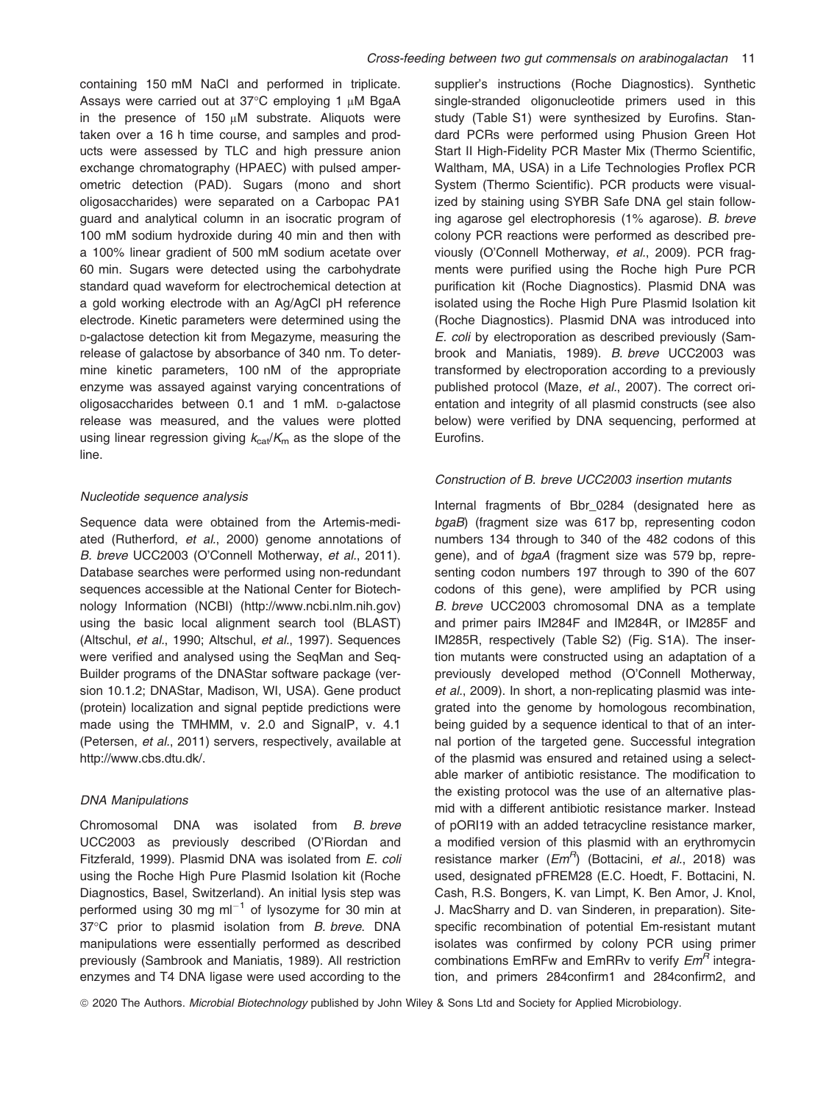containing 150 mM NaCl and performed in triplicate. Assays were carried out at 37°C employing 1 µM BgaA in the presence of  $150 \mu M$  substrate. Aliquots were taken over a 16 h time course, and samples and products were assessed by TLC and high pressure anion exchange chromatography (HPAEC) with pulsed amperometric detection (PAD). Sugars (mono and short oligosaccharides) were separated on a Carbopac PA1 guard and analytical column in an isocratic program of 100 mM sodium hydroxide during 40 min and then with a 100% linear gradient of 500 mM sodium acetate over 60 min. Sugars were detected using the carbohydrate standard quad waveform for electrochemical detection at a gold working electrode with an Ag/AgCl pH reference electrode. Kinetic parameters were determined using the D-galactose detection kit from Megazyme, measuring the release of galactose by absorbance of 340 nm. To determine kinetic parameters, 100 nM of the appropriate enzyme was assayed against varying concentrations of oligosaccharides between 0.1 and 1 mM. D-galactose release was measured, and the values were plotted using linear regression giving  $k_{cat}/K_m$  as the slope of the line.

#### Nucleotide sequence analysis

Sequence data were obtained from the Artemis-mediated (Rutherford, et al., 2000) genome annotations of B. breve UCC2003 (O'Connell Motherway, et al., 2011). Database searches were performed using non-redundant sequences accessible at the National Center for Biotechnology Information (NCBI) [\(http://www.ncbi.nlm.nih.gov](http://www.ncbi.nlm.nih.gov)) using the basic local alignment search tool (BLAST) (Altschul, et al., 1990; Altschul, et al., 1997). Sequences were verified and analysed using the SeqMan and Seq-Builder programs of the DNAStar software package (version 10.1.2; DNAStar, Madison, WI, USA). Gene product (protein) localization and signal peptide predictions were made using the TMHMM, v. 2.0 and SignalP, v. 4.1 (Petersen, et al., 2011) servers, respectively, available at <http://www.cbs.dtu.dk/>.

#### DNA Manipulations

Chromosomal DNA was isolated from B. breve UCC2003 as previously described (O'Riordan and Fitzferald, 1999). Plasmid DNA was isolated from E. coli using the Roche High Pure Plasmid Isolation kit (Roche Diagnostics, Basel, Switzerland). An initial lysis step was performed using 30 mg  $ml^{-1}$  of lysozyme for 30 min at 37°C prior to plasmid isolation from B. breve. DNA manipulations were essentially performed as described previously (Sambrook and Maniatis, 1989). All restriction enzymes and T4 DNA ligase were used according to the

supplier's instructions (Roche Diagnostics). Synthetic single-stranded oligonucleotide primers used in this study (Table S1) were synthesized by Eurofins. Standard PCRs were performed using Phusion Green Hot Start II High-Fidelity PCR Master Mix (Thermo Scientific, Waltham, MA, USA) in a Life Technologies Proflex PCR System (Thermo Scientific). PCR products were visualized by staining using SYBR Safe DNA gel stain following agarose gel electrophoresis (1% agarose). B. breve colony PCR reactions were performed as described previously (O'Connell Motherway, et al., 2009). PCR fragments were purified using the Roche high Pure PCR purification kit (Roche Diagnostics). Plasmid DNA was isolated using the Roche High Pure Plasmid Isolation kit (Roche Diagnostics). Plasmid DNA was introduced into E. coli by electroporation as described previously (Sambrook and Maniatis, 1989). B. breve UCC2003 was transformed by electroporation according to a previously published protocol (Maze, et al., 2007). The correct orientation and integrity of all plasmid constructs (see also below) were verified by DNA sequencing, performed at Eurofins.

#### Construction of B. breve UCC2003 insertion mutants

Internal fragments of Bbr 0284 (designated here as bgaB) (fragment size was 617 bp, representing codon numbers 134 through to 340 of the 482 codons of this gene), and of bgaA (fragment size was 579 bp, representing codon numbers 197 through to 390 of the 607 codons of this gene), were amplified by PCR using B. breve UCC2003 chromosomal DNA as a template and primer pairs IM284F and IM284R, or IM285F and IM285R, respectively (Table S2) (Fig. S1A). The insertion mutants were constructed using an adaptation of a previously developed method (O'Connell Motherway, et al., 2009). In short, a non-replicating plasmid was integrated into the genome by homologous recombination, being guided by a sequence identical to that of an internal portion of the targeted gene. Successful integration of the plasmid was ensured and retained using a selectable marker of antibiotic resistance. The modification to the existing protocol was the use of an alternative plasmid with a different antibiotic resistance marker. Instead of pORI19 with an added tetracycline resistance marker, a modified version of this plasmid with an erythromycin resistance marker  $(Em<sup>R</sup>)$  (Bottacini, et al., 2018) was used, designated pFREM28 (E.C. Hoedt, F. Bottacini, N. Cash, R.S. Bongers, K. van Limpt, K. Ben Amor, J. Knol, J. MacSharry and D. van Sinderen, in preparation). Sitespecific recombination of potential Em-resistant mutant isolates was confirmed by colony PCR using primer combinations EmRFw and EmRRy to verify  $Em<sup>R</sup>$  integration, and primers 284confirm1 and 284confirm2, and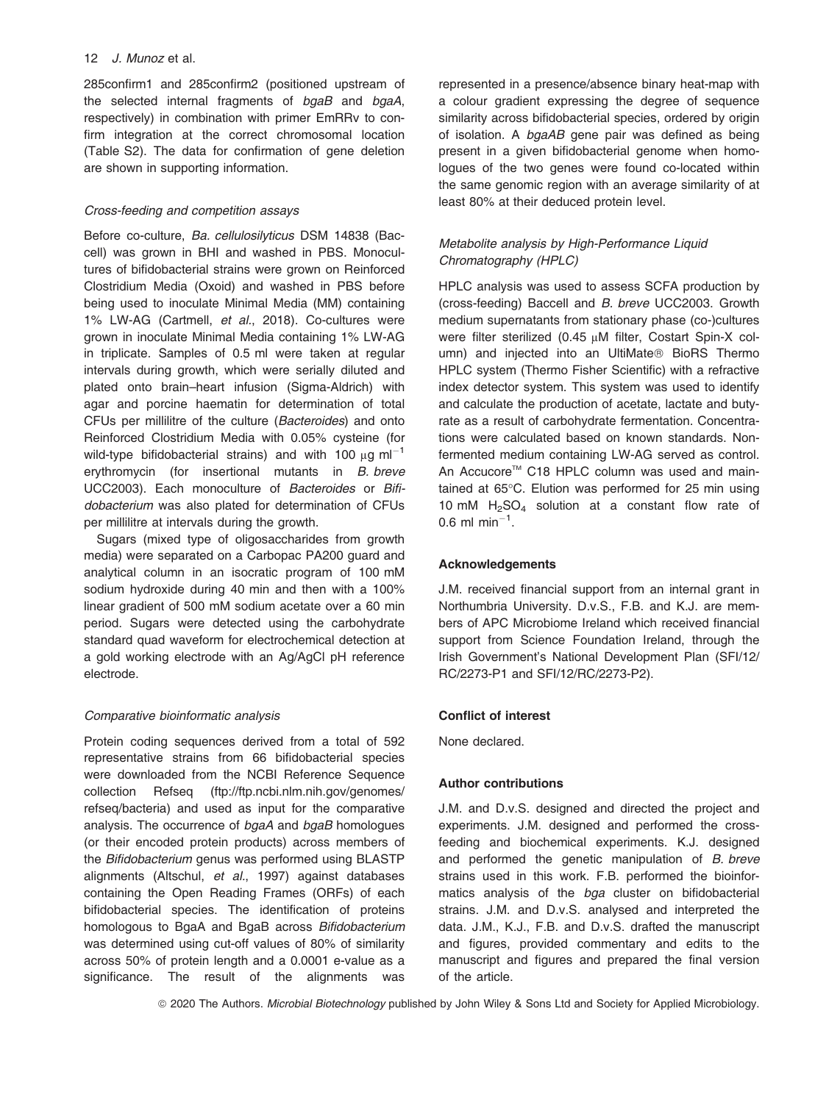285confirm1 and 285confirm2 (positioned upstream of the selected internal fragments of bgaB and bgaA, respectively) in combination with primer EmRRv to confirm integration at the correct chromosomal location (Table S2). The data for confirmation of gene deletion are shown in supporting information.

# Cross-feeding and competition assays

Before co-culture, Ba. cellulosilyticus DSM 14838 (Baccell) was grown in BHI and washed in PBS. Monocultures of bifidobacterial strains were grown on Reinforced Clostridium Media (Oxoid) and washed in PBS before being used to inoculate Minimal Media (MM) containing 1% LW-AG (Cartmell, et al., 2018). Co-cultures were grown in inoculate Minimal Media containing 1% LW-AG in triplicate. Samples of 0.5 ml were taken at regular intervals during growth, which were serially diluted and plated onto brain–heart infusion (Sigma-Aldrich) with agar and porcine haematin for determination of total CFUs per millilitre of the culture (Bacteroides) and onto Reinforced Clostridium Media with 0.05% cysteine (for wild-type bifidobacterial strains) and with 100  $\mu$ g ml<sup>-1</sup> erythromycin (for insertional mutants in B. breve UCC2003). Each monoculture of Bacteroides or Bifidobacterium was also plated for determination of CFUs per millilitre at intervals during the growth.

Sugars (mixed type of oligosaccharides from growth media) were separated on a Carbopac PA200 guard and analytical column in an isocratic program of 100 mM sodium hydroxide during 40 min and then with a 100% linear gradient of 500 mM sodium acetate over a 60 min period. Sugars were detected using the carbohydrate standard quad waveform for electrochemical detection at a gold working electrode with an Ag/AgCl pH reference electrode.

# Comparative bioinformatic analysis

Protein coding sequences derived from a total of 592 representative strains from 66 bifidobacterial species were downloaded from the NCBI Reference Sequence collection Refseq [\(ftp://ftp.ncbi.nlm.nih.gov/genomes/](ftp://ftp.ncbi.nlm.nih.gov/genomes/refseq/bacteria) [refseq/bacteria](ftp://ftp.ncbi.nlm.nih.gov/genomes/refseq/bacteria)) and used as input for the comparative analysis. The occurrence of bgaA and bgaB homologues (or their encoded protein products) across members of the Bifidobacterium genus was performed using BLASTP alignments (Altschul, et al., 1997) against databases containing the Open Reading Frames (ORFs) of each bifidobacterial species. The identification of proteins homologous to BgaA and BgaB across Bifidobacterium was determined using cut-off values of 80% of similarity across 50% of protein length and a 0.0001 e-value as a significance. The result of the alignments was

represented in a presence/absence binary heat-map with a colour gradient expressing the degree of sequence similarity across bifidobacterial species, ordered by origin of isolation. A bgaAB gene pair was defined as being present in a given bifidobacterial genome when homologues of the two genes were found co-located within the same genomic region with an average similarity of at least 80% at their deduced protein level.

# Metabolite analysis by High-Performance Liquid Chromatography (HPLC)

HPLC analysis was used to assess SCFA production by (cross-feeding) Baccell and B. breve UCC2003. Growth medium supernatants from stationary phase (co-)cultures were filter sterilized (0.45 µM filter, Costart Spin-X column) and injected into an UltiMate<sup>®</sup> BioRS Thermo HPLC system (Thermo Fisher Scientific) with a refractive index detector system. This system was used to identify and calculate the production of acetate, lactate and butyrate as a result of carbohydrate fermentation. Concentrations were calculated based on known standards. Nonfermented medium containing LW-AG served as control. An Accucore™ C18 HPLC column was used and maintained at 65°C. Elution was performed for 25 min using 10 mM  $H<sub>2</sub>SO<sub>4</sub>$  solution at a constant flow rate of 0.6 ml min<sup>-1</sup>.

# Acknowledgements

J.M. received financial support from an internal grant in Northumbria University. D.v.S., F.B. and K.J. are members of APC Microbiome Ireland which received financial support from Science Foundation Ireland, through the Irish Government's National Development Plan (SFI/12/ RC/2273-P1 and SFI/12/RC/2273-P2).

# Conflict of interest

None declared.

# Author contributions

J.M. and D.v.S. designed and directed the project and experiments. J.M. designed and performed the crossfeeding and biochemical experiments. K.J. designed and performed the genetic manipulation of B. breve strains used in this work. F.B. performed the bioinformatics analysis of the bga cluster on bifidobacterial strains. J.M. and D.v.S. analysed and interpreted the data. J.M., K.J., F.B. and D.v.S. drafted the manuscript and figures, provided commentary and edits to the manuscript and figures and prepared the final version of the article.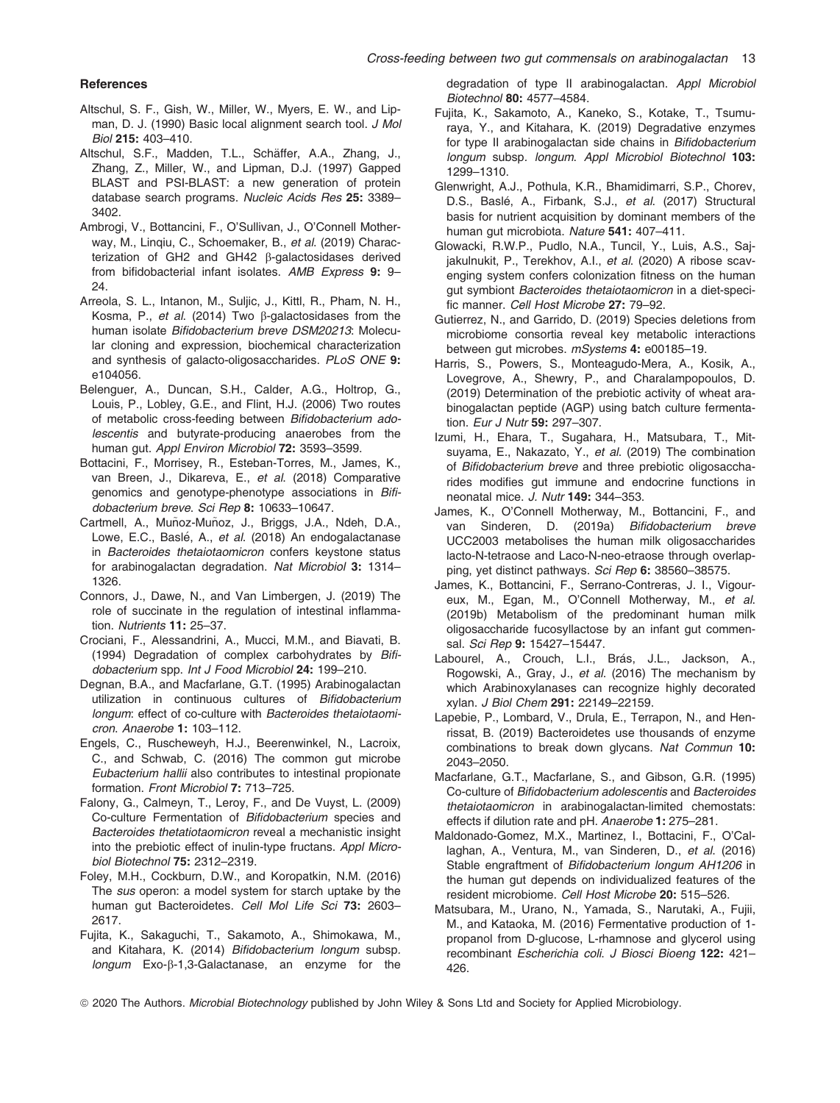#### **References**

- Altschul, S. F., Gish, W., Miller, W., Myers, E. W., and Lipman, D. J. (1990) Basic local alignment search tool. J Mol Biol 215: 403–410.
- Altschul, S.F., Madden, T.L., Schäffer, A.A., Zhang, J., Zhang, Z., Miller, W., and Lipman, D.J. (1997) Gapped BLAST and PSI-BLAST: a new generation of protein database search programs. Nucleic Acids Res 25: 3389-3402.
- Ambrogi, V., Bottancini, F., O'Sullivan, J., O'Connell Motherway, M., Linqiu, C., Schoemaker, B., et al. (2019) Characterization of GH2 and GH42 b-galactosidases derived from bifidobacterial infant isolates. AMB Express 9: 9– 24.
- Arreola, S. L., Intanon, M., Suljic, J., Kittl, R., Pham, N. H., Kosma, P., et al. (2014) Two  $\beta$ -galactosidases from the human isolate Bifidobacterium breve DSM20213: Molecular cloning and expression, biochemical characterization and synthesis of galacto-oligosaccharides. PLoS ONE 9: e104056.
- Belenguer, A., Duncan, S.H., Calder, A.G., Holtrop, G., Louis, P., Lobley, G.E., and Flint, H.J. (2006) Two routes of metabolic cross-feeding between Bifidobacterium adolescentis and butyrate-producing anaerobes from the human gut. Appl Environ Microbiol 72: 3593-3599.
- Bottacini, F., Morrisey, R., Esteban-Torres, M., James, K., van Breen, J., Dikareva, E., et al. (2018) Comparative genomics and genotype-phenotype associations in Bifidobacterium breve. Sci Rep 8: 10633–10647.
- Cartmell, A., Muñoz-Muñoz, J., Briggs, J.A., Ndeh, D.A., Lowe, E.C., Baslé, A., et al. (2018) An endogalactanase in Bacteroides thetaiotaomicron confers keystone status for arabinogalactan degradation. Nat Microbiol 3: 1314– 1326.
- Connors, J., Dawe, N., and Van Limbergen, J. (2019) The role of succinate in the regulation of intestinal inflammation. Nutrients 11: 25–37.
- Crociani, F., Alessandrini, A., Mucci, M.M., and Biavati, B. (1994) Degradation of complex carbohydrates by Bifidobacterium spp. Int J Food Microbiol 24: 199–210.
- Degnan, B.A., and Macfarlane, G.T. (1995) Arabinogalactan utilization in continuous cultures of Bifidobacterium longum: effect of co-culture with Bacteroides thetaiotaomicron. Anaerobe 1: 103–112.
- Engels, C., Ruscheweyh, H.J., Beerenwinkel, N., Lacroix, C., and Schwab, C. (2016) The common gut microbe Eubacterium hallii also contributes to intestinal propionate formation. Front Microbiol 7: 713–725.
- Falony, G., Calmeyn, T., Leroy, F., and De Vuyst, L. (2009) Co-culture Fermentation of Bifidobacterium species and Bacteroides thetatiotaomicron reveal a mechanistic insight into the prebiotic effect of inulin-type fructans. Appl Microbiol Biotechnol 75: 2312–2319.
- Foley, M.H., Cockburn, D.W., and Koropatkin, N.M. (2016) The sus operon: a model system for starch uptake by the human gut Bacteroidetes. Cell Mol Life Sci 73: 2603-2617.
- Fujita, K., Sakaguchi, T., Sakamoto, A., Shimokawa, M., and Kitahara, K. (2014) Bifidobacterium longum subsp. longum Exo-β-1,3-Galactanase, an enzyme for the

degradation of type II arabinogalactan. Appl Microbiol Biotechnol 80: 4577–4584.

- Fujita, K., Sakamoto, A., Kaneko, S., Kotake, T., Tsumuraya, Y., and Kitahara, K. (2019) Degradative enzymes for type II arabinogalactan side chains in Bifidobacterium longum subsp. longum. Appl Microbiol Biotechnol 103: 1299–1310.
- Glenwright, A.J., Pothula, K.R., Bhamidimarri, S.P., Chorev, D.S., Baslé, A., Firbank, S.J., et al. (2017) Structural basis for nutrient acquisition by dominant members of the human gut microbiota. Nature 541: 407–411.
- Glowacki, R.W.P., Pudlo, N.A., Tuncil, Y., Luis, A.S., Sajjakulnukit, P., Terekhov, A.I., et al. (2020) A ribose scavenging system confers colonization fitness on the human gut symbiont Bacteroides thetaiotaomicron in a diet-specific manner. Cell Host Microbe 27: 79–92.
- Gutierrez, N., and Garrido, D. (2019) Species deletions from microbiome consortia reveal key metabolic interactions between gut microbes. mSystems 4: e00185–19.
- Harris, S., Powers, S., Monteagudo-Mera, A., Kosik, A., Lovegrove, A., Shewry, P., and Charalampopoulos, D. (2019) Determination of the prebiotic activity of wheat arabinogalactan peptide (AGP) using batch culture fermentation. Eur J Nutr 59: 297-307.
- Izumi, H., Ehara, T., Sugahara, H., Matsubara, T., Mitsuyama, E., Nakazato, Y., et al. (2019) The combination of Bifidobacterium breve and three prebiotic oligosaccharides modifies gut immune and endocrine functions in neonatal mice. J. Nutr 149: 344–353.
- James, K., O'Connell Motherway, M., Bottancini, F., and van Sinderen, D. (2019a) Bifidobacterium breve UCC2003 metabolises the human milk oligosaccharides lacto-N-tetraose and Laco-N-neo-etraose through overlapping, yet distinct pathways. Sci Rep 6: 38560–38575.
- James, K., Bottancini, F., Serrano-Contreras, J. I., Vigoureux, M., Egan, M., O'Connell Motherway, M., et al. (2019b) Metabolism of the predominant human milk oligosaccharide fucosyllactose by an infant gut commensal. Sci Rep 9: 15427–15447.
- Labourel, A., Crouch, L.I., Brás, J.L., Jackson, A., Rogowski, A., Gray, J., et al. (2016) The mechanism by which Arabinoxylanases can recognize highly decorated xylan. J Biol Chem 291: 22149–22159.
- Lapebie, P., Lombard, V., Drula, E., Terrapon, N., and Henrissat, B. (2019) Bacteroidetes use thousands of enzyme combinations to break down glycans. Nat Commun 10: 2043–2050.
- Macfarlane, G.T., Macfarlane, S., and Gibson, G.R. (1995) Co-culture of Bifidobacterium adolescentis and Bacteroides thetaiotaomicron in arabinogalactan-limited chemostats: effects if dilution rate and pH. Anaerobe 1: 275–281.
- Maldonado-Gomez, M.X., Martinez, I., Bottacini, F., O'Callaghan, A., Ventura, M., van Sinderen, D., et al. (2016) Stable engraftment of Bifidobacterium longum AH1206 in the human gut depends on individualized features of the resident microbiome. Cell Host Microbe 20: 515–526.
- Matsubara, M., Urano, N., Yamada, S., Narutaki, A., Fujii, M., and Kataoka, M. (2016) Fermentative production of 1 propanol from D-glucose, L-rhamnose and glycerol using recombinant Escherichia coli. J Biosci Bioeng 122: 421– 426.
- ª 2020 The Authors. Microbial Biotechnology published by John Wiley & Sons Ltd and Society for Applied Microbiology.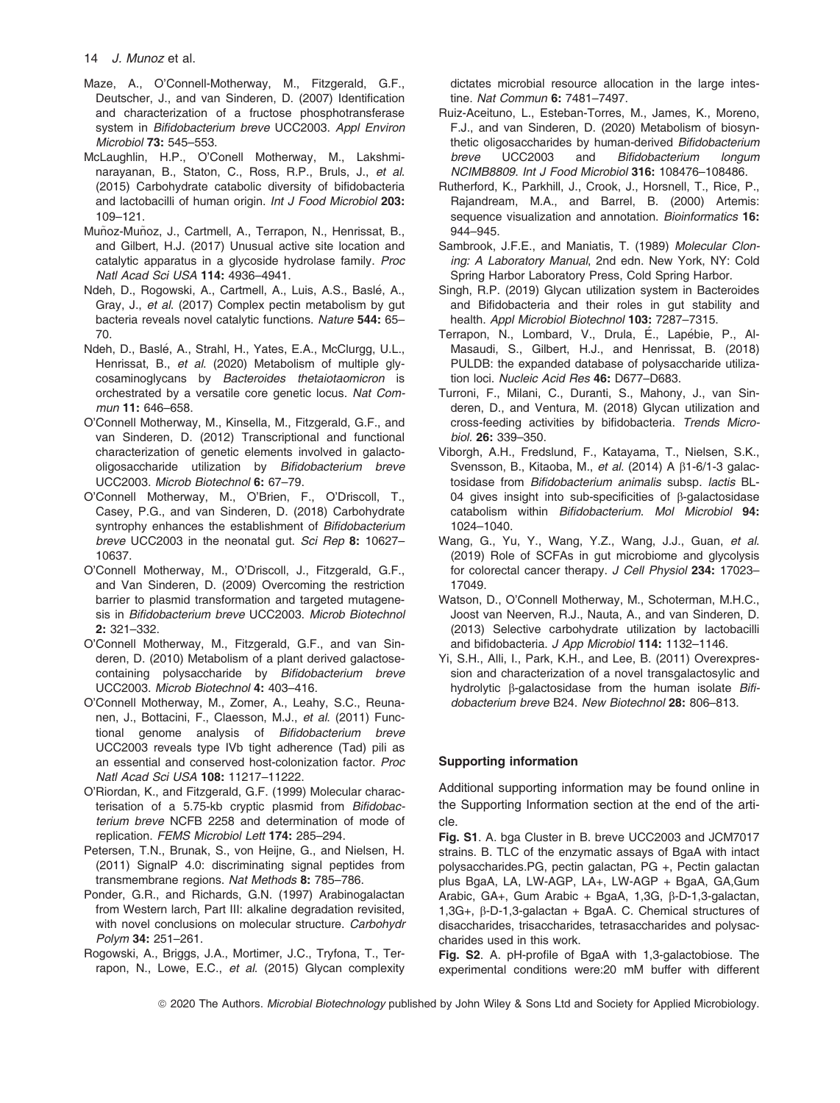- Maze, A., O'Connell-Motherway, M., Fitzgerald, G.F., Deutscher, J., and van Sinderen, D. (2007) Identification and characterization of a fructose phosphotransferase system in Bifidobacterium breve UCC2003. Appl Environ Microbiol 73: 545–553.
- McLaughlin, H.P., O'Conell Motherway, M., Lakshminarayanan, B., Staton, C., Ross, R.P., Bruls, J., et al. (2015) Carbohydrate catabolic diversity of bifidobacteria and lactobacilli of human origin. Int J Food Microbiol 203: 109–121.
- Muñoz-Muñoz, J., Cartmell, A., Terrapon, N., Henrissat, B., and Gilbert, H.J. (2017) Unusual active site location and catalytic apparatus in a glycoside hydrolase family. Proc Natl Acad Sci USA 114: 4936–4941.
- Ndeh, D., Rogowski, A., Cartmell, A., Luis, A.S., Baslé, A., Gray, J., et al. (2017) Complex pectin metabolism by gut bacteria reveals novel catalytic functions. Nature 544: 65– 70.
- Ndeh, D., Baslé, A., Strahl, H., Yates, E.A., McClurgg, U.L., Henrissat, B., et al. (2020) Metabolism of multiple glvcosaminoglycans by Bacteroides thetaiotaomicron is orchestrated by a versatile core genetic locus. Nat Commun 11: 646–658.
- O'Connell Motherway, M., Kinsella, M., Fitzgerald, G.F., and van Sinderen, D. (2012) Transcriptional and functional characterization of genetic elements involved in galactooligosaccharide utilization by Bifidobacterium breve UCC2003. Microb Biotechnol 6: 67–79.
- O'Connell Motherway, M., O'Brien, F., O'Driscoll, T., Casey, P.G., and van Sinderen, D. (2018) Carbohydrate syntrophy enhances the establishment of Bifidobacterium breve UCC2003 in the neonatal gut. Sci Rep 8: 10627-10637.
- O'Connell Motherway, M., O'Driscoll, J., Fitzgerald, G.F., and Van Sinderen, D. (2009) Overcoming the restriction barrier to plasmid transformation and targeted mutagenesis in Bifidobacterium breve UCC2003. Microb Biotechnol 2: 321–332.
- O'Connell Motherway, M., Fitzgerald, G.F., and van Sinderen, D. (2010) Metabolism of a plant derived galactosecontaining polysaccharide by Bifidobacterium breve UCC2003. Microb Biotechnol 4: 403–416.
- O'Connell Motherway, M., Zomer, A., Leahy, S.C., Reunanen, J., Bottacini, F., Claesson, M.J., et al. (2011) Functional genome analysis of Bifidobacterium breve UCC2003 reveals type IVb tight adherence (Tad) pili as an essential and conserved host-colonization factor. Proc Natl Acad Sci USA 108: 11217–11222.
- O'Riordan, K., and Fitzgerald, G.F. (1999) Molecular characterisation of a 5.75-kb cryptic plasmid from Bifidobacterium breve NCFB 2258 and determination of mode of replication. FEMS Microbiol Lett 174: 285–294.
- Petersen, T.N., Brunak, S., von Heijne, G., and Nielsen, H. (2011) SignalP 4.0: discriminating signal peptides from transmembrane regions. Nat Methods 8: 785–786.
- Ponder, G.R., and Richards, G.N. (1997) Arabinogalactan from Western larch, Part III: alkaline degradation revisited, with novel conclusions on molecular structure. Carbohydr Polym 34: 251–261.
- Rogowski, A., Briggs, J.A., Mortimer, J.C., Tryfona, T., Terrapon, N., Lowe, E.C., et al. (2015) Glycan complexity

dictates microbial resource allocation in the large intestine. Nat Commun 6: 7481-7497.

- Ruiz-Aceituno, L., Esteban-Torres, M., James, K., Moreno, F.J., and van Sinderen, D. (2020) Metabolism of biosynthetic oligosaccharides by human-derived Bifidobacterium breve UCC2003 and Bifidobacterium longum NCIMB8809. Int J Food Microbiol 316: 108476–108486.
- Rutherford, K., Parkhill, J., Crook, J., Horsnell, T., Rice, P., Rajandream, M.A., and Barrel, B. (2000) Artemis: sequence visualization and annotation. Bioinformatics 16: 944–945.
- Sambrook, J.F.E., and Maniatis, T. (1989) Molecular Cloning: A Laboratory Manual, 2nd edn. New York, NY: Cold Spring Harbor Laboratory Press, Cold Spring Harbor.
- Singh, R.P. (2019) Glycan utilization system in Bacteroides and Bifidobacteria and their roles in gut stability and health. Appl Microbiol Biotechnol 103: 7287-7315.
- Terrapon, N., Lombard, V., Drula, É., Lapébie, P., Al-Masaudi, S., Gilbert, H.J., and Henrissat, B. (2018) PULDB: the expanded database of polysaccharide utilization loci. Nucleic Acid Res 46: D677–D683.
- Turroni, F., Milani, C., Duranti, S., Mahony, J., van Sinderen, D., and Ventura, M. (2018) Glycan utilization and cross-feeding activities by bifidobacteria. Trends Microbiol. 26: 339–350.
- Viborgh, A.H., Fredslund, F., Katayama, T., Nielsen, S.K., Svensson, B., Kitaoba, M., et al. (2014) A  $\beta$ 1-6/1-3 galactosidase from Bifidobacterium animalis subsp. lactis BL-04 gives insight into sub-specificities of  $\beta$ -galactosidase catabolism within Bifidobacterium. Mol Microbiol 94: 1024–1040.
- Wang, G., Yu, Y., Wang, Y.Z., Wang, J.J., Guan, et al. (2019) Role of SCFAs in gut microbiome and glycolysis for colorectal cancer therapy. J Cell Physiol 234: 17023– 17049.
- Watson, D., O'Connell Motherway, M., Schoterman, M.H.C., Joost van Neerven, R.J., Nauta, A., and van Sinderen, D. (2013) Selective carbohydrate utilization by lactobacilli and bifidobacteria. J App Microbiol 114: 1132-1146.
- Yi, S.H., Alli, I., Park, K.H., and Lee, B. (2011) Overexpression and characterization of a novel transgalactosylic and hydrolytic  $\beta$ -galactosidase from the human isolate Bifidobacterium breve B24. New Biotechnol 28: 806–813.

# Supporting information

Additional supporting information may be found online in the Supporting Information section at the end of the article.

Fig. S1. A. bga Cluster in B. breve UCC2003 and JCM7017 strains. B. TLC of the enzymatic assays of BgaA with intact polysaccharides.PG, pectin galactan, PG +, Pectin galactan plus BgaA, LA, LW-AGP, LA+, LW-AGP + BgaA, GA,Gum Arabic, GA+, Gum Arabic + BgaA, 1,3G,  $\beta$ -D-1,3-galactan, 1,3G+, b-D-1,3-galactan + BgaA. C. Chemical structures of disaccharides, trisaccharides, tetrasaccharides and polysaccharides used in this work.

Fig. S2. A. pH-profile of BgaA with 1,3-galactobiose. The experimental conditions were:20 mM buffer with different